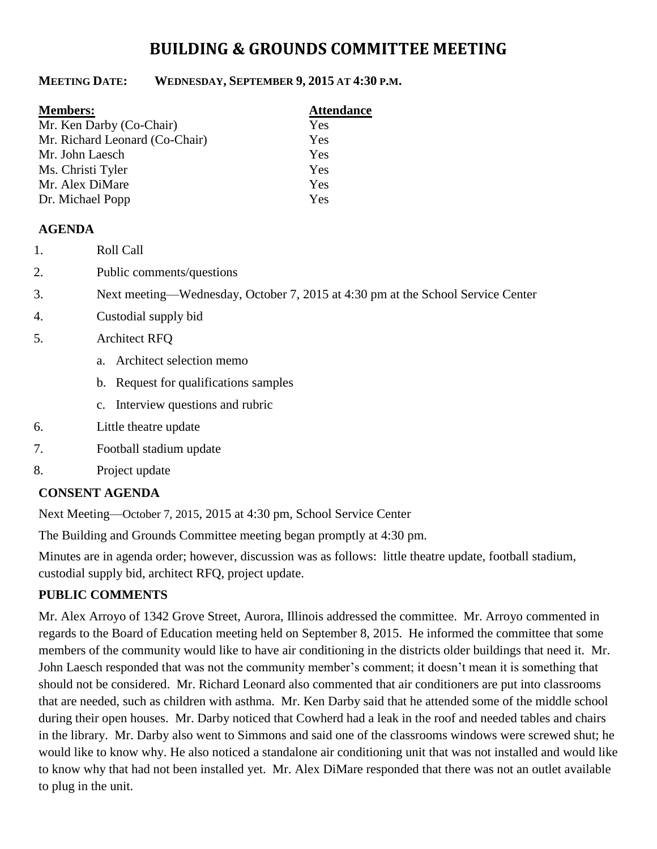# **BUILDING & GROUNDS COMMITTEE MEETING**

#### **MEETING DATE: WEDNESDAY, SEPTEMBER 9, 2015 AT 4:30 P.M.**

| <b>Attendance</b> |
|-------------------|
| Yes               |
| Yes               |
| Yes               |
| Yes               |
| Yes               |
| Yes               |
|                   |

#### **AGENDA**

- 1. Roll Call
- 2. Public comments/questions
- 3. Next meeting—Wednesday, October 7, 2015 at 4:30 pm at the School Service Center
- 4. Custodial supply bid
- 5. Architect RFQ
	- a. Architect selection memo
	- b. Request for qualifications samples
	- c. Interview questions and rubric
- 6. Little theatre update
- 7. Football stadium update
- 8. Project update

#### **CONSENT AGENDA**

Next Meeting—October 7, 2015, 2015 at 4:30 pm, School Service Center

The Building and Grounds Committee meeting began promptly at 4:30 pm.

Minutes are in agenda order; however, discussion was as follows: little theatre update, football stadium, custodial supply bid, architect RFQ, project update.

## **PUBLIC COMMENTS**

Mr. Alex Arroyo of 1342 Grove Street, Aurora, Illinois addressed the committee. Mr. Arroyo commented in regards to the Board of Education meeting held on September 8, 2015. He informed the committee that some members of the community would like to have air conditioning in the districts older buildings that need it. Mr. John Laesch responded that was not the community member's comment; it doesn't mean it is something that should not be considered. Mr. Richard Leonard also commented that air conditioners are put into classrooms that are needed, such as children with asthma. Mr. Ken Darby said that he attended some of the middle school during their open houses. Mr. Darby noticed that Cowherd had a leak in the roof and needed tables and chairs in the library. Mr. Darby also went to Simmons and said one of the classrooms windows were screwed shut; he would like to know why. He also noticed a standalone air conditioning unit that was not installed and would like to know why that had not been installed yet. Mr. Alex DiMare responded that there was not an outlet available to plug in the unit.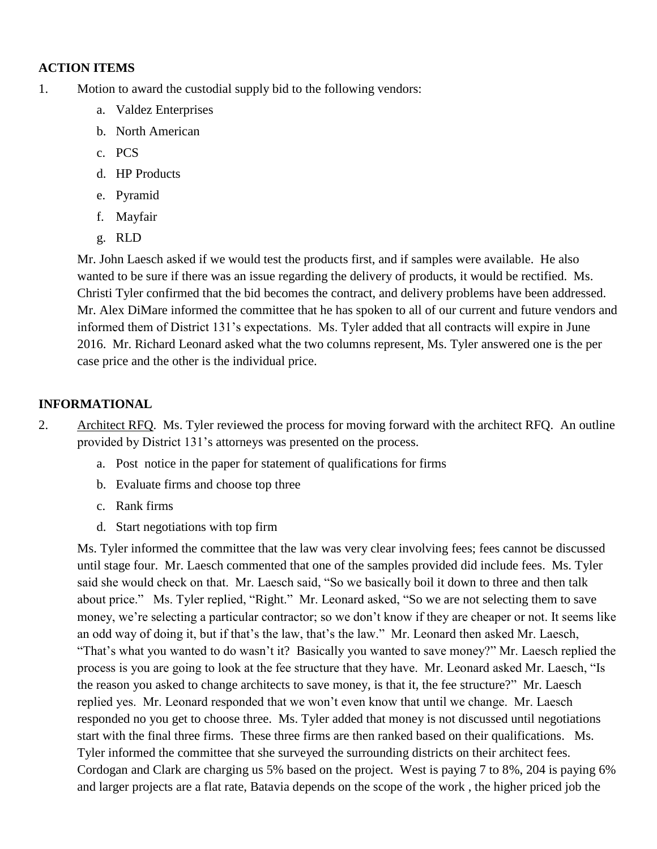### **ACTION ITEMS**

- 1. Motion to award the custodial supply bid to the following vendors:
	- a. Valdez Enterprises
	- b. North American
	- c. PCS
	- d. HP Products
	- e. Pyramid
	- f. Mayfair
	- g. RLD

Mr. John Laesch asked if we would test the products first, and if samples were available. He also wanted to be sure if there was an issue regarding the delivery of products, it would be rectified. Ms. Christi Tyler confirmed that the bid becomes the contract, and delivery problems have been addressed. Mr. Alex DiMare informed the committee that he has spoken to all of our current and future vendors and informed them of District 131's expectations. Ms. Tyler added that all contracts will expire in June 2016. Mr. Richard Leonard asked what the two columns represent, Ms. Tyler answered one is the per case price and the other is the individual price.

## **INFORMATIONAL**

2. Architect RFQ. Ms. Tyler reviewed the process for moving forward with the architect RFQ. An outline provided by District 131's attorneys was presented on the process.

- a. Post notice in the paper for statement of qualifications for firms
- b. Evaluate firms and choose top three
- c. Rank firms
- d. Start negotiations with top firm

Ms. Tyler informed the committee that the law was very clear involving fees; fees cannot be discussed until stage four. Mr. Laesch commented that one of the samples provided did include fees. Ms. Tyler said she would check on that. Mr. Laesch said, "So we basically boil it down to three and then talk about price." Ms. Tyler replied, "Right." Mr. Leonard asked, "So we are not selecting them to save money, we're selecting a particular contractor; so we don't know if they are cheaper or not. It seems like an odd way of doing it, but if that's the law, that's the law." Mr. Leonard then asked Mr. Laesch, "That's what you wanted to do wasn't it? Basically you wanted to save money?" Mr. Laesch replied the process is you are going to look at the fee structure that they have. Mr. Leonard asked Mr. Laesch, "Is the reason you asked to change architects to save money, is that it, the fee structure?" Mr. Laesch replied yes. Mr. Leonard responded that we won't even know that until we change. Mr. Laesch responded no you get to choose three. Ms. Tyler added that money is not discussed until negotiations start with the final three firms. These three firms are then ranked based on their qualifications. Ms. Tyler informed the committee that she surveyed the surrounding districts on their architect fees. Cordogan and Clark are charging us 5% based on the project. West is paying 7 to 8%, 204 is paying 6% and larger projects are a flat rate, Batavia depends on the scope of the work , the higher priced job the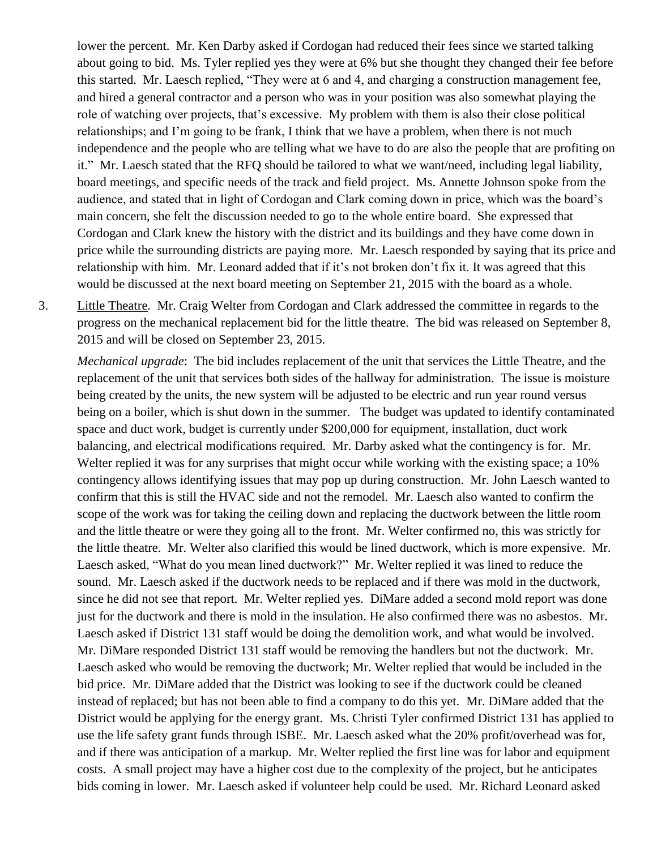lower the percent. Mr. Ken Darby asked if Cordogan had reduced their fees since we started talking about going to bid. Ms. Tyler replied yes they were at 6% but she thought they changed their fee before this started. Mr. Laesch replied, "They were at 6 and 4, and charging a construction management fee, and hired a general contractor and a person who was in your position was also somewhat playing the role of watching over projects, that's excessive. My problem with them is also their close political relationships; and I'm going to be frank, I think that we have a problem, when there is not much independence and the people who are telling what we have to do are also the people that are profiting on it." Mr. Laesch stated that the RFQ should be tailored to what we want/need, including legal liability, board meetings, and specific needs of the track and field project. Ms. Annette Johnson spoke from the audience, and stated that in light of Cordogan and Clark coming down in price, which was the board's main concern, she felt the discussion needed to go to the whole entire board. She expressed that Cordogan and Clark knew the history with the district and its buildings and they have come down in price while the surrounding districts are paying more. Mr. Laesch responded by saying that its price and relationship with him. Mr. Leonard added that if it's not broken don't fix it. It was agreed that this would be discussed at the next board meeting on September 21, 2015 with the board as a whole.

3. Little Theatre. Mr. Craig Welter from Cordogan and Clark addressed the committee in regards to the progress on the mechanical replacement bid for the little theatre. The bid was released on September 8, 2015 and will be closed on September 23, 2015.

*Mechanical upgrade*: The bid includes replacement of the unit that services the Little Theatre, and the replacement of the unit that services both sides of the hallway for administration. The issue is moisture being created by the units, the new system will be adjusted to be electric and run year round versus being on a boiler, which is shut down in the summer. The budget was updated to identify contaminated space and duct work, budget is currently under \$200,000 for equipment, installation, duct work balancing, and electrical modifications required. Mr. Darby asked what the contingency is for. Mr. Welter replied it was for any surprises that might occur while working with the existing space; a 10% contingency allows identifying issues that may pop up during construction. Mr. John Laesch wanted to confirm that this is still the HVAC side and not the remodel. Mr. Laesch also wanted to confirm the scope of the work was for taking the ceiling down and replacing the ductwork between the little room and the little theatre or were they going all to the front. Mr. Welter confirmed no, this was strictly for the little theatre. Mr. Welter also clarified this would be lined ductwork, which is more expensive. Mr. Laesch asked, "What do you mean lined ductwork?" Mr. Welter replied it was lined to reduce the sound. Mr. Laesch asked if the ductwork needs to be replaced and if there was mold in the ductwork, since he did not see that report. Mr. Welter replied yes. DiMare added a second mold report was done just for the ductwork and there is mold in the insulation. He also confirmed there was no asbestos. Mr. Laesch asked if District 131 staff would be doing the demolition work, and what would be involved. Mr. DiMare responded District 131 staff would be removing the handlers but not the ductwork. Mr. Laesch asked who would be removing the ductwork; Mr. Welter replied that would be included in the bid price. Mr. DiMare added that the District was looking to see if the ductwork could be cleaned instead of replaced; but has not been able to find a company to do this yet. Mr. DiMare added that the District would be applying for the energy grant. Ms. Christi Tyler confirmed District 131 has applied to use the life safety grant funds through ISBE. Mr. Laesch asked what the 20% profit/overhead was for, and if there was anticipation of a markup. Mr. Welter replied the first line was for labor and equipment costs. A small project may have a higher cost due to the complexity of the project, but he anticipates bids coming in lower. Mr. Laesch asked if volunteer help could be used. Mr. Richard Leonard asked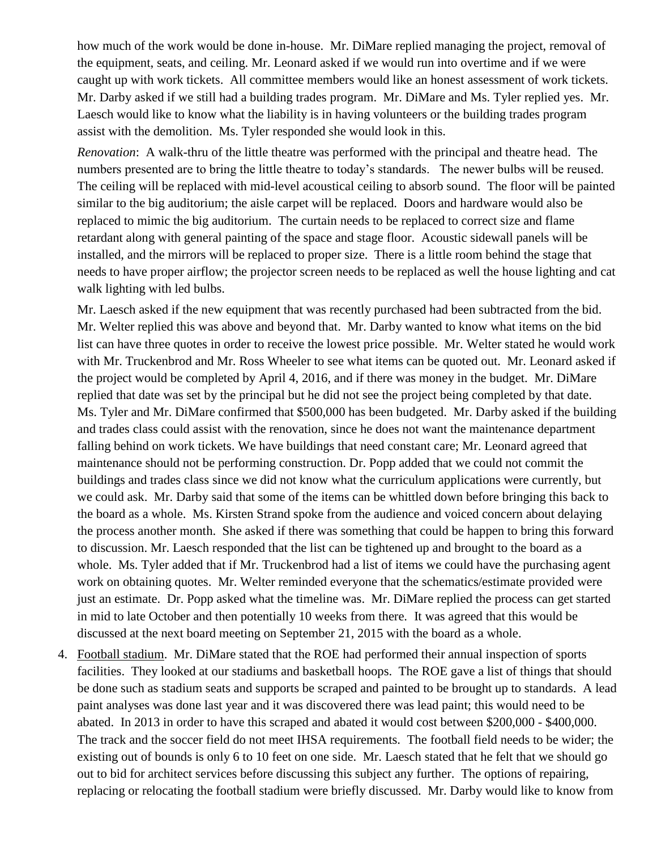how much of the work would be done in-house. Mr. DiMare replied managing the project, removal of the equipment, seats, and ceiling. Mr. Leonard asked if we would run into overtime and if we were caught up with work tickets. All committee members would like an honest assessment of work tickets. Mr. Darby asked if we still had a building trades program. Mr. DiMare and Ms. Tyler replied yes. Mr. Laesch would like to know what the liability is in having volunteers or the building trades program assist with the demolition. Ms. Tyler responded she would look in this.

*Renovation*: A walk-thru of the little theatre was performed with the principal and theatre head. The numbers presented are to bring the little theatre to today's standards. The newer bulbs will be reused. The ceiling will be replaced with mid-level acoustical ceiling to absorb sound. The floor will be painted similar to the big auditorium; the aisle carpet will be replaced. Doors and hardware would also be replaced to mimic the big auditorium. The curtain needs to be replaced to correct size and flame retardant along with general painting of the space and stage floor. Acoustic sidewall panels will be installed, and the mirrors will be replaced to proper size. There is a little room behind the stage that needs to have proper airflow; the projector screen needs to be replaced as well the house lighting and cat walk lighting with led bulbs.

Mr. Laesch asked if the new equipment that was recently purchased had been subtracted from the bid. Mr. Welter replied this was above and beyond that. Mr. Darby wanted to know what items on the bid list can have three quotes in order to receive the lowest price possible. Mr. Welter stated he would work with Mr. Truckenbrod and Mr. Ross Wheeler to see what items can be quoted out. Mr. Leonard asked if the project would be completed by April 4, 2016, and if there was money in the budget. Mr. DiMare replied that date was set by the principal but he did not see the project being completed by that date. Ms. Tyler and Mr. DiMare confirmed that \$500,000 has been budgeted. Mr. Darby asked if the building and trades class could assist with the renovation, since he does not want the maintenance department falling behind on work tickets. We have buildings that need constant care; Mr. Leonard agreed that maintenance should not be performing construction. Dr. Popp added that we could not commit the buildings and trades class since we did not know what the curriculum applications were currently, but we could ask. Mr. Darby said that some of the items can be whittled down before bringing this back to the board as a whole. Ms. Kirsten Strand spoke from the audience and voiced concern about delaying the process another month. She asked if there was something that could be happen to bring this forward to discussion. Mr. Laesch responded that the list can be tightened up and brought to the board as a whole. Ms. Tyler added that if Mr. Truckenbrod had a list of items we could have the purchasing agent work on obtaining quotes. Mr. Welter reminded everyone that the schematics/estimate provided were just an estimate. Dr. Popp asked what the timeline was. Mr. DiMare replied the process can get started in mid to late October and then potentially 10 weeks from there. It was agreed that this would be discussed at the next board meeting on September 21, 2015 with the board as a whole.

4. Football stadium. Mr. DiMare stated that the ROE had performed their annual inspection of sports facilities. They looked at our stadiums and basketball hoops. The ROE gave a list of things that should be done such as stadium seats and supports be scraped and painted to be brought up to standards. A lead paint analyses was done last year and it was discovered there was lead paint; this would need to be abated. In 2013 in order to have this scraped and abated it would cost between \$200,000 - \$400,000. The track and the soccer field do not meet IHSA requirements. The football field needs to be wider; the existing out of bounds is only 6 to 10 feet on one side. Mr. Laesch stated that he felt that we should go out to bid for architect services before discussing this subject any further. The options of repairing, replacing or relocating the football stadium were briefly discussed. Mr. Darby would like to know from